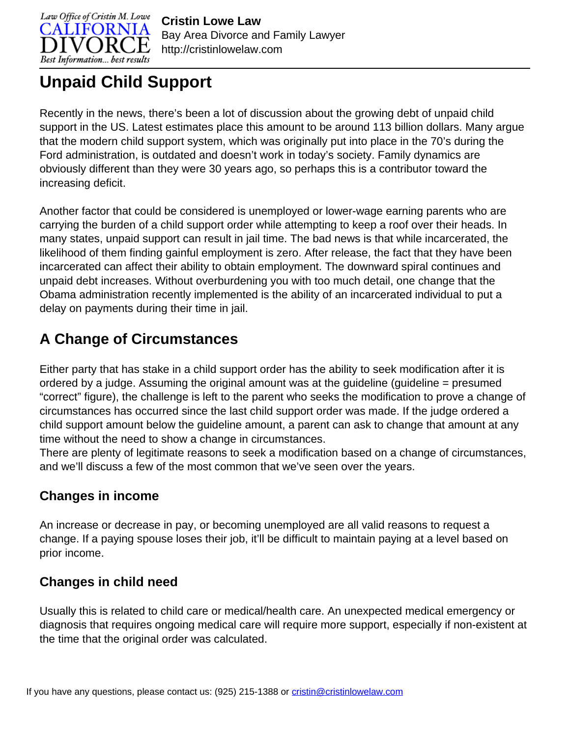

# **Unpaid Child Support**

Recently in the news, there's been a lot of discussion about the growing debt of unpaid child support in the US. Latest estimates place this amount to be around 113 billion dollars. Many argue that the modern child support system, which was originally put into place in the 70's during the Ford administration, is outdated and doesn't work in today's society. Family dynamics are obviously different than they were 30 years ago, so perhaps this is a contributor toward the increasing deficit.

Another factor that could be considered is unemployed or lower-wage earning parents who are carrying the burden of a child support order while attempting to keep a roof over their heads. In many states, unpaid support can result in jail time. The bad news is that while incarcerated, the likelihood of them finding gainful employment is zero. After release, the fact that they have been incarcerated can affect their ability to obtain employment. The downward spiral continues and unpaid debt increases. Without overburdening you with too much detail, one change that the Obama administration recently implemented is the ability of an incarcerated individual to put a delay on payments during their time in jail.

## **A Change of Circumstances**

Either party that has stake in a child support order has the ability to seek modification after it is ordered by a judge. Assuming the original amount was at the guideline (guideline = presumed "correct" figure), the challenge is left to the parent who seeks the modification to prove a change of circumstances has occurred since the last child support order was made. If the judge ordered a child support amount below the guideline amount, a parent can ask to change that amount at any time without the need to show a change in circumstances.

There are plenty of legitimate reasons to seek a modification based on a change of circumstances, and we'll discuss a few of the most common that we've seen over the years.

#### **Changes in income**

An increase or decrease in pay, or becoming unemployed are all valid reasons to request a change. If a paying spouse loses their job, it'll be difficult to maintain paying at a level based on prior income.

#### **Changes in child need**

Usually this is related to child care or medical/health care. An unexpected medical emergency or diagnosis that requires ongoing medical care will require more support, especially if non-existent at the time that the original order was calculated.